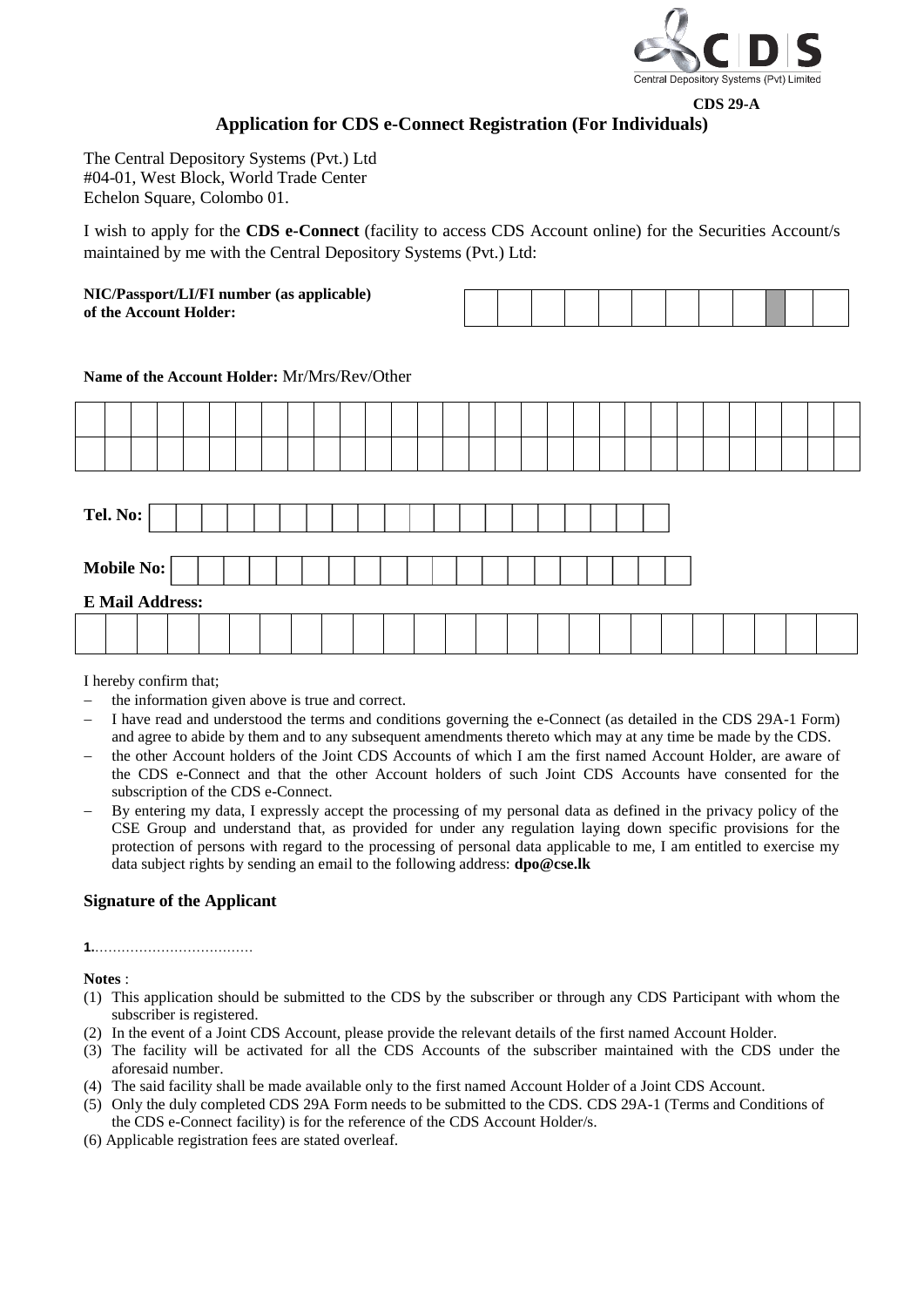

# **CDS 29-A Application for CDS e-Connect Registration (For Individuals)**

The Central Depository Systems (Pvt.) Ltd #04-01, West Block, World Trade Center Echelon Square, Colombo 01.

I wish to apply for the **CDS e-Connect** (facility to access CDS Account online) for the Securities Account/s maintained by me with the Central Depository Systems (Pvt.) Ltd:

**NIC/Passport/LI/FI number (as applicable) of the Account Holder:** 

# **Name of the Account Holder:** Mr/Mrs/Rev/Other

| Tel. No: $\vert$       |  |  |  |  |  |  |  |  |  |  |  |  |  |  |  |  |  |  |  |
|------------------------|--|--|--|--|--|--|--|--|--|--|--|--|--|--|--|--|--|--|--|
| Mobile No:             |  |  |  |  |  |  |  |  |  |  |  |  |  |  |  |  |  |  |  |
| <b>E Mail Address:</b> |  |  |  |  |  |  |  |  |  |  |  |  |  |  |  |  |  |  |  |
|                        |  |  |  |  |  |  |  |  |  |  |  |  |  |  |  |  |  |  |  |

I hereby confirm that;

- the information given above is true and correct.
- I have read and understood the terms and conditions governing the e-Connect (as detailed in the CDS 29A-1 Form) and agree to abide by them and to any subsequent amendments thereto which may at any time be made by the CDS.
- the other Account holders of the Joint CDS Accounts of which I am the first named Account Holder, are aware of the CDS e-Connect and that the other Account holders of such Joint CDS Accounts have consented for the subscription of the CDS e-Connect.
- By entering my data, I expressly accept the processing of my personal data as defined in the privacy policy of the CSE Group and understand that, as provided for under any regulation laying down specific provisions for the protection of persons with regard to the processing of personal data applicable to me, I am entitled to exercise my data subject rights by sending an email to the following address: **dpo@cse.lk**

# **Signature of the Applicant**

# **1.**………………………………

**Notes** :

- (1) This application should be submitted to the CDS by the subscriber or through any CDS Participant with whom the subscriber is registered.
- (2) In the event of a Joint CDS Account, please provide the relevant details of the first named Account Holder.
- (3) The facility will be activated for all the CDS Accounts of the subscriber maintained with the CDS under the aforesaid number.
- (4) The said facility shall be made available only to the first named Account Holder of a Joint CDS Account.
- (5) Only the duly completed CDS 29A Form needs to be submitted to the CDS. CDS 29A-1 (Terms and Conditions of the CDS e-Connect facility) is for the reference of the CDS Account Holder/s.
- (6) Applicable registration fees are stated overleaf.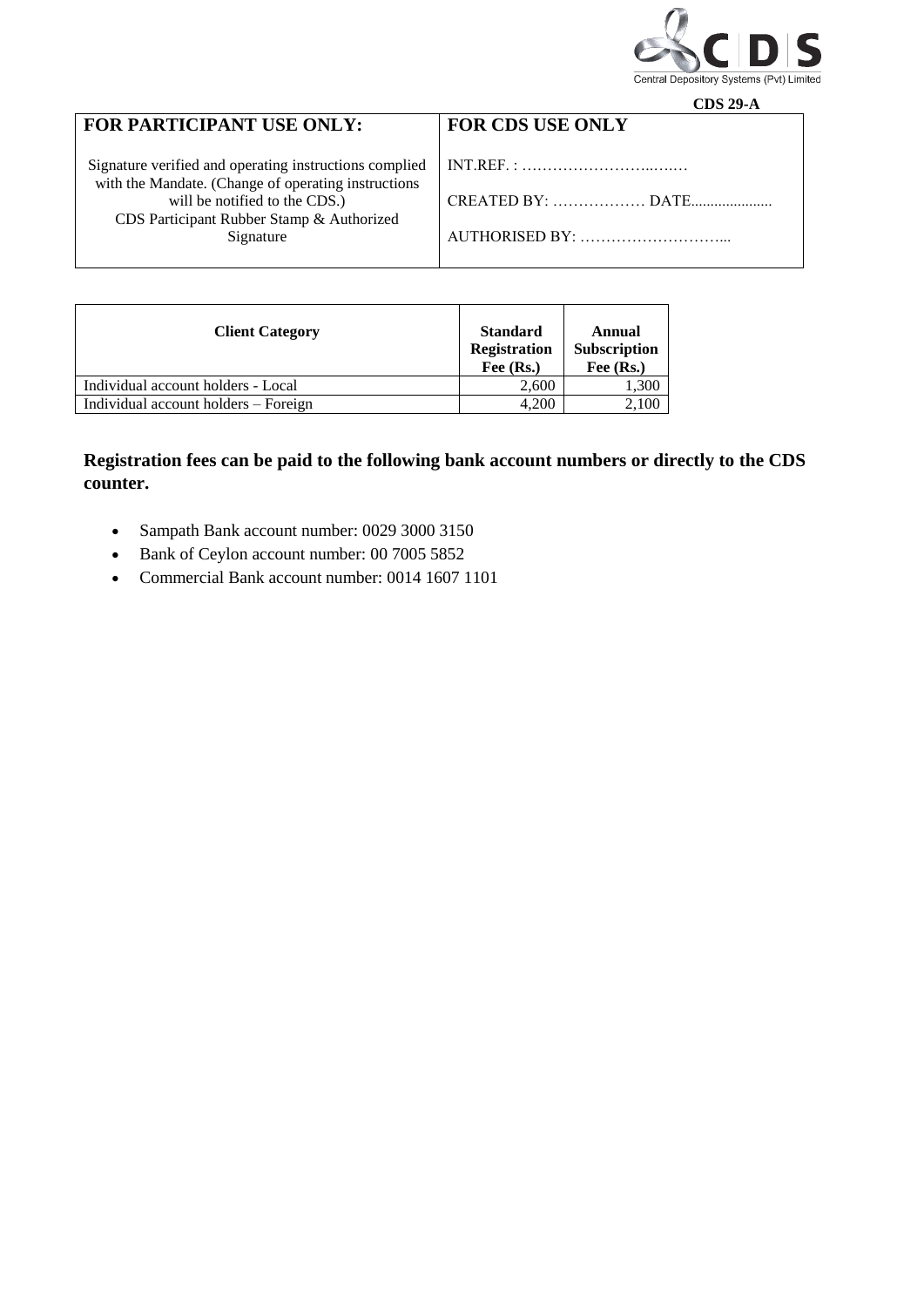

|                                                                                      | CDS 29-A                |
|--------------------------------------------------------------------------------------|-------------------------|
| FOR PARTICIPANT USE ONLY:                                                            | <b>FOR CDS USE ONLY</b> |
|                                                                                      |                         |
| Signature verified and operating instructions complied                               |                         |
| with the Mandate. (Change of operating instructions<br>will be notified to the CDS.) | CREATED BY:  DATE       |
| CDS Participant Rubber Stamp & Authorized                                            |                         |
| Signature                                                                            | AUTHORISED BY:          |
|                                                                                      |                         |
|                                                                                      |                         |

| <b>Client Category</b>               | <b>Standard</b><br>Registration<br>Fee $(Rs.)$ | Annual<br>Subscription<br>Fee (Rs.) |
|--------------------------------------|------------------------------------------------|-------------------------------------|
| Individual account holders - Local   | 2,600                                          | 1,300                               |
| Individual account holders – Foreign | 4.200                                          | 2,100                               |

# **Registration fees can be paid to the following bank account numbers or directly to the CDS counter.**

- Sampath Bank account number: 0029 3000 3150
- Bank of Ceylon account number: 00 7005 5852
- Commercial Bank account number: 0014 1607 1101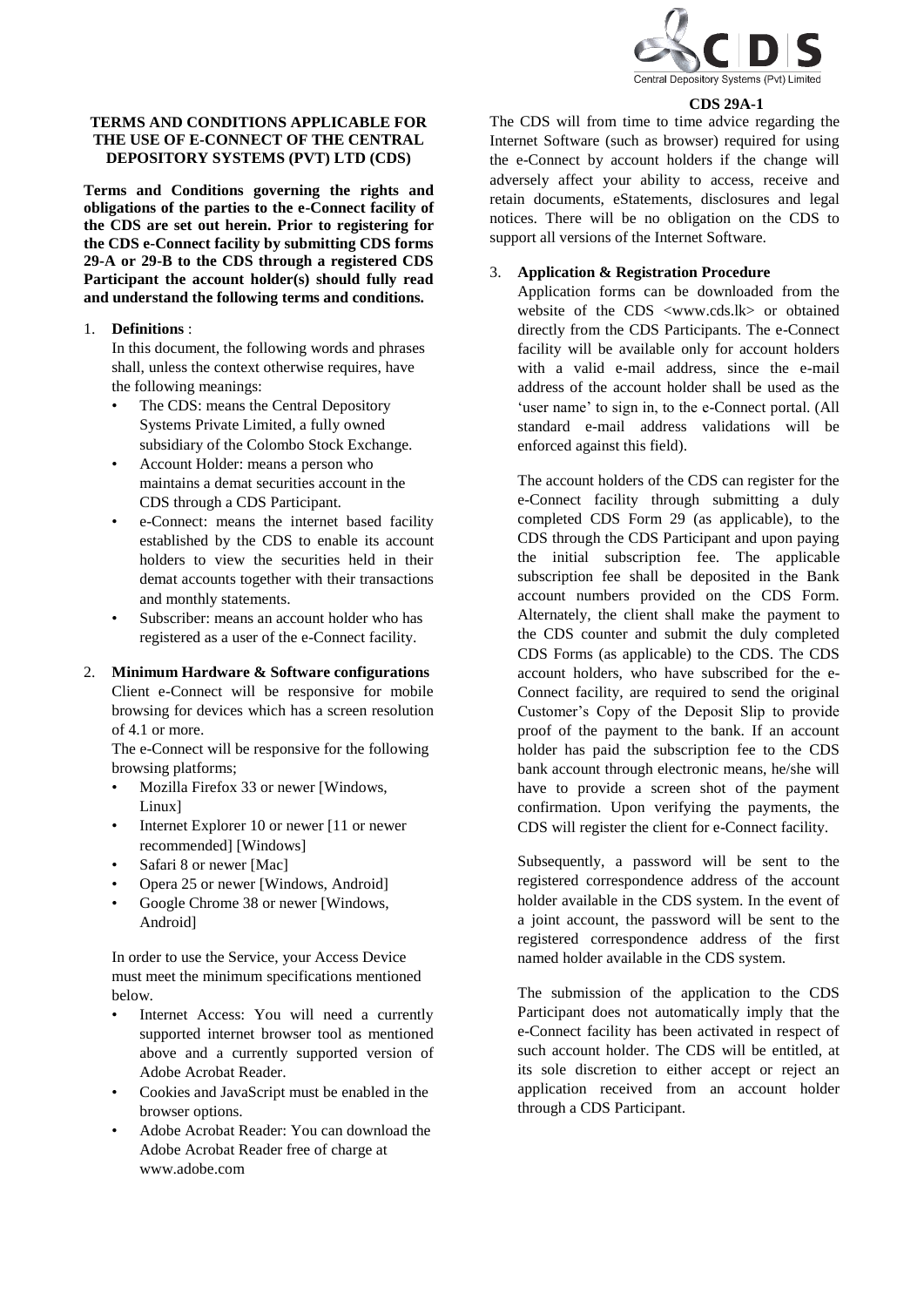

#### **CDS 29A-1**

### **TERMS AND CONDITIONS APPLICABLE FOR THE USE OF E-CONNECT OF THE CENTRAL DEPOSITORY SYSTEMS (PVT) LTD (CDS)**

**Terms and Conditions governing the rights and obligations of the parties to the e-Connect facility of the CDS are set out herein. Prior to registering for the CDS e-Connect facility by submitting CDS forms 29-A or 29-B to the CDS through a registered CDS Participant the account holder(s) should fully read and understand the following terms and conditions.**

#### 1. **Definitions** :

In this document, the following words and phrases shall, unless the context otherwise requires, have the following meanings:

- The CDS: means the Central Depository Systems Private Limited, a fully owned subsidiary of the Colombo Stock Exchange.
- Account Holder: means a person who maintains a demat securities account in the CDS through a CDS Participant.
- e-Connect: means the internet based facility established by the CDS to enable its account holders to view the securities held in their demat accounts together with their transactions and monthly statements.
- Subscriber: means an account holder who has registered as a user of the e-Connect facility.

# 2. **Minimum Hardware & Software configurations**  Client e-Connect will be responsive for mobile browsing for devices which has a screen resolution of 4.1 or more.

The e-Connect will be responsive for the following browsing platforms;

- Mozilla Firefox 33 or newer [Windows, Linux]
- Internet Explorer 10 or newer [11 or newer recommended] [Windows]
- Safari 8 or newer [Mac]
- Opera 25 or newer [Windows, Android]
- Google Chrome 38 or newer [Windows, Android]

In order to use the Service, your Access Device must meet the minimum specifications mentioned below.

- Internet Access: You will need a currently supported internet browser tool as mentioned above and a currently supported version of Adobe Acrobat Reader.
- Cookies and JavaScript must be enabled in the browser options.
- Adobe Acrobat Reader: You can download the Adobe Acrobat Reader free of charge at www.adobe.com

The CDS will from time to time advice regarding the Internet Software (such as browser) required for using the e-Connect by account holders if the change will adversely affect your ability to access, receive and retain documents, eStatements, disclosures and legal notices. There will be no obligation on the CDS to support all versions of the Internet Software.

# 3. **Application & Registration Procedure**

Application forms can be downloaded from the website of the CDS <www.cds.lk> or obtained directly from the CDS Participants. The e-Connect facility will be available only for account holders with a valid e-mail address, since the e-mail address of the account holder shall be used as the 'user name' to sign in, to the e-Connect portal. (All standard e-mail address validations will be enforced against this field).

The account holders of the CDS can register for the e-Connect facility through submitting a duly completed CDS Form 29 (as applicable), to the CDS through the CDS Participant and upon paying the initial subscription fee. The applicable subscription fee shall be deposited in the Bank account numbers provided on the CDS Form. Alternately, the client shall make the payment to the CDS counter and submit the duly completed CDS Forms (as applicable) to the CDS. The CDS account holders, who have subscribed for the e-Connect facility, are required to send the original Customer's Copy of the Deposit Slip to provide proof of the payment to the bank. If an account holder has paid the subscription fee to the CDS bank account through electronic means, he/she will have to provide a screen shot of the payment confirmation. Upon verifying the payments, the CDS will register the client for e-Connect facility.

Subsequently, a password will be sent to the registered correspondence address of the account holder available in the CDS system. In the event of a joint account, the password will be sent to the registered correspondence address of the first named holder available in the CDS system.

The submission of the application to the CDS Participant does not automatically imply that the e-Connect facility has been activated in respect of such account holder. The CDS will be entitled, at its sole discretion to either accept or reject an application received from an account holder through a CDS Participant.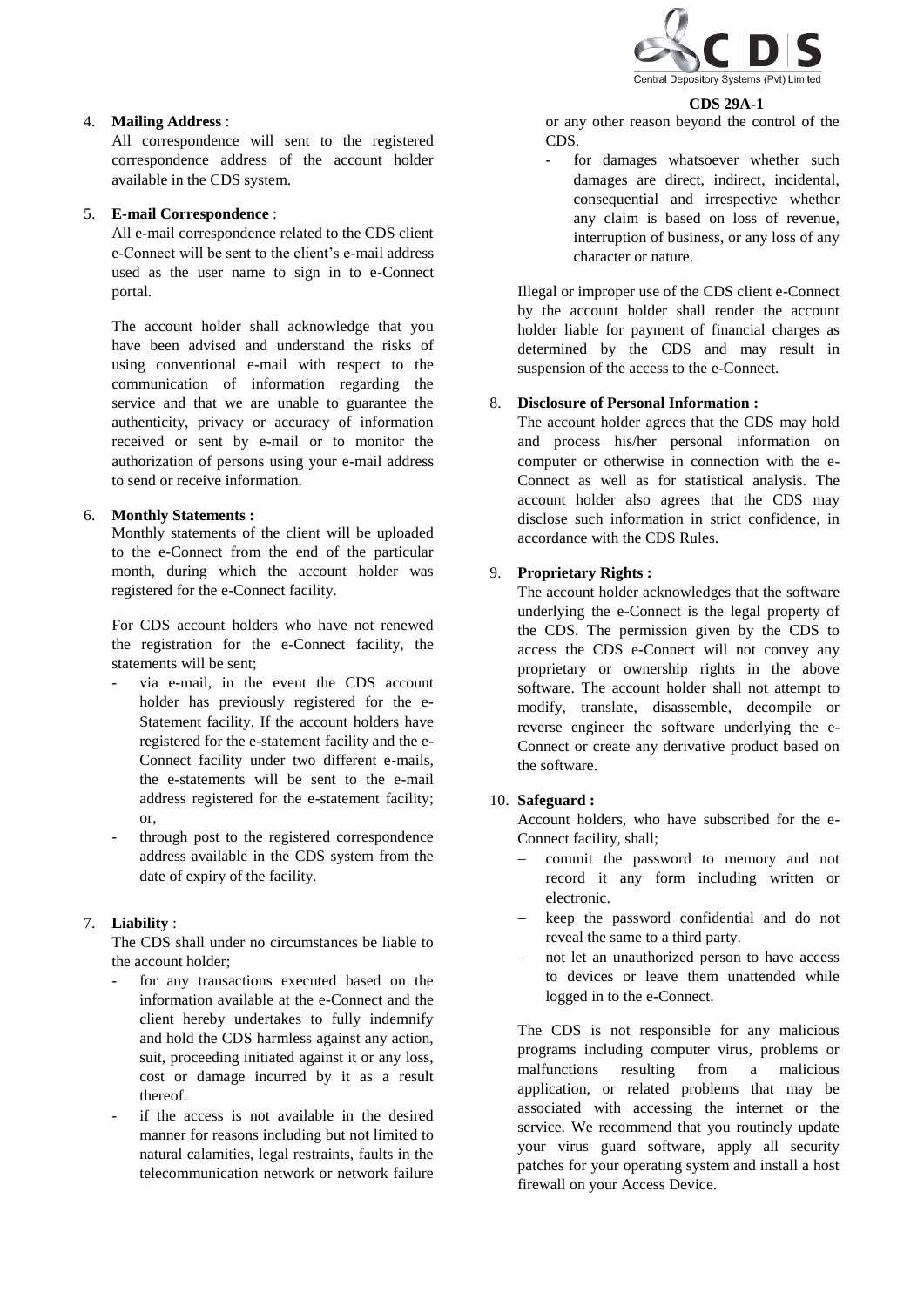

#### **CDS 29A-1**

4. **Mailing Address** :

All correspondence will sent to the registered correspondence address of the account holder available in the CDS system.

#### 5. **E-mail Correspondence** :

All e-mail correspondence related to the CDS client e-Connect will be sent to the client's e-mail address used as the user name to sign in to e-Connect portal.

The account holder shall acknowledge that you have been advised and understand the risks of using conventional e-mail with respect to the communication of information regarding the service and that we are unable to guarantee the authenticity, privacy or accuracy of information received or sent by e-mail or to monitor the authorization of persons using your e-mail address to send or receive information.

#### 6. **Monthly Statements :**

Monthly statements of the client will be uploaded to the e-Connect from the end of the particular month, during which the account holder was registered for the e-Connect facility.

For CDS account holders who have not renewed the registration for the e-Connect facility, the statements will be sent;

- via e-mail, in the event the CDS account holder has previously registered for the e-Statement facility. If the account holders have registered for the e-statement facility and the e-Connect facility under two different e-mails, the e-statements will be sent to the e-mail address registered for the e-statement facility; or,
- through post to the registered correspondence address available in the CDS system from the date of expiry of the facility.

# 7. **Liability** :

The CDS shall under no circumstances be liable to the account holder;

- for any transactions executed based on the information available at the e-Connect and the client hereby undertakes to fully indemnify and hold the CDS harmless against any action, suit, proceeding initiated against it or any loss, cost or damage incurred by it as a result thereof.
- if the access is not available in the desired manner for reasons including but not limited to natural calamities, legal restraints, faults in the telecommunication network or network failure

or any other reason beyond the control of the CDS.

for damages whatsoever whether such damages are direct, indirect, incidental, consequential and irrespective whether any claim is based on loss of revenue, interruption of business, or any loss of any character or nature.

Illegal or improper use of the CDS client e-Connect by the account holder shall render the account holder liable for payment of financial charges as determined by the CDS and may result in suspension of the access to the e-Connect.

#### 8. **Disclosure of Personal Information :**

The account holder agrees that the CDS may hold and process his/her personal information on computer or otherwise in connection with the e-Connect as well as for statistical analysis. The account holder also agrees that the CDS may disclose such information in strict confidence, in accordance with the CDS Rules.

# 9. **Proprietary Rights :**

The account holder acknowledges that the software underlying the e-Connect is the legal property of the CDS. The permission given by the CDS to access the CDS e-Connect will not convey any proprietary or ownership rights in the above software. The account holder shall not attempt to modify, translate, disassemble, decompile or reverse engineer the software underlying the e-Connect or create any derivative product based on the software.

#### 10. **Safeguard :**

Account holders, who have subscribed for the e-Connect facility, shall;

- commit the password to memory and not record it any form including written or electronic.
- keep the password confidential and do not reveal the same to a third party.
- not let an unauthorized person to have access to devices or leave them unattended while logged in to the e-Connect.

The CDS is not responsible for any malicious programs including computer virus, problems or malfunctions resulting from a malicious application, or related problems that may be associated with accessing the internet or the service. We recommend that you routinely update your virus guard software, apply all security patches for your operating system and install a host firewall on your Access Device.